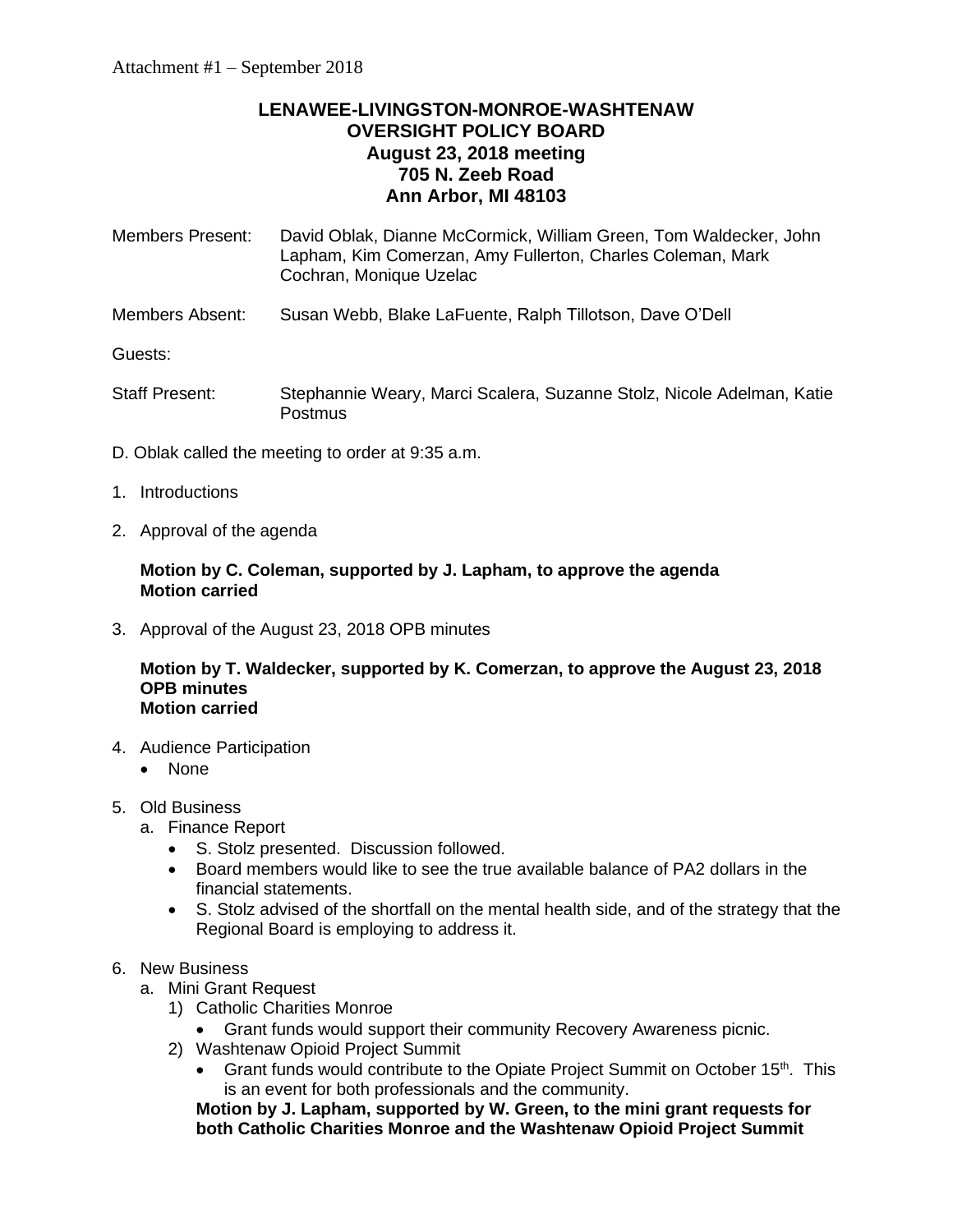# **LENAWEE-LIVINGSTON-MONROE-WASHTENAW OVERSIGHT POLICY BOARD August 23, 2018 meeting 705 N. Zeeb Road Ann Arbor, MI 48103**

| <b>Members Present:</b> | David Oblak, Dianne McCormick, William Green, Tom Waldecker, John<br>Lapham, Kim Comerzan, Amy Fullerton, Charles Coleman, Mark<br>Cochran, Monique Uzelac |
|-------------------------|------------------------------------------------------------------------------------------------------------------------------------------------------------|
| Members Absent:         | Susan Webb, Blake LaFuente, Ralph Tillotson, Dave O'Dell                                                                                                   |
| Guests:                 |                                                                                                                                                            |
|                         |                                                                                                                                                            |

- Staff Present: Stephannie Weary, Marci Scalera, Suzanne Stolz, Nicole Adelman, Katie **Postmus**
- D. Oblak called the meeting to order at 9:35 a.m.
- 1. Introductions
- 2. Approval of the agenda

#### **Motion by C. Coleman, supported by J. Lapham, to approve the agenda Motion carried**

3. Approval of the August 23, 2018 OPB minutes

**Motion by T. Waldecker, supported by K. Comerzan, to approve the August 23, 2018 OPB minutes Motion carried**

- 4. Audience Participation
	- None
- 5. Old Business
	- a. Finance Report
		- S. Stolz presented. Discussion followed.
		- Board members would like to see the true available balance of PA2 dollars in the financial statements.
		- S. Stolz advised of the shortfall on the mental health side, and of the strategy that the Regional Board is employing to address it.

# 6. New Business

- a. Mini Grant Request
	- 1) Catholic Charities Monroe
		- Grant funds would support their community Recovery Awareness picnic.
	- 2) Washtenaw Opioid Project Summit
		- Grant funds would contribute to the Opiate Project Summit on October 15<sup>th</sup>. This is an event for both professionals and the community.

**Motion by J. Lapham, supported by W. Green, to the mini grant requests for both Catholic Charities Monroe and the Washtenaw Opioid Project Summit**